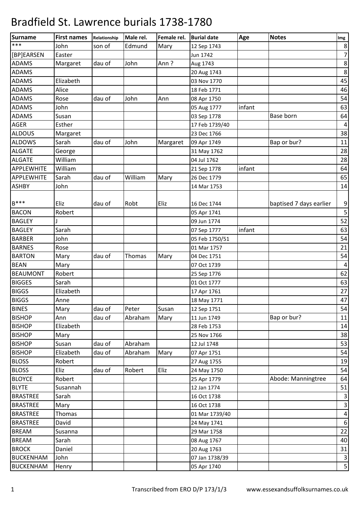| Surname           | <b>First names</b> | Relationship | Male rel. | Female rel. | <b>Burial date</b> | Age    | <b>Notes</b>            | Img              |
|-------------------|--------------------|--------------|-----------|-------------|--------------------|--------|-------------------------|------------------|
| $***$             | John               | son of       | Edmund    | Mary        | 12 Sep 1743        |        |                         | $\,8\,$          |
| [BP]EARSEN        | Easter             |              |           |             | Jun 1742           |        |                         | $\overline{7}$   |
| <b>ADAMS</b>      | Margaret           | dau of       | John      | Ann?        | Aug 1743           |        |                         | $\,8\,$          |
| <b>ADAMS</b>      |                    |              |           |             | 20 Aug 1743        |        |                         | $\,8\,$          |
| <b>ADAMS</b>      | Elizabeth          |              |           |             | 03 Nov 1770        |        |                         | 45               |
| <b>ADAMS</b>      | Alice              |              |           |             | 18 Feb 1771        |        |                         | 46               |
| <b>ADAMS</b>      | Rose               | dau of       | John      | Ann         | 08 Apr 1750        |        |                         | 54               |
| <b>ADAMS</b>      | John               |              |           |             | 05 Aug 1777        | infant |                         | 63               |
| <b>ADAMS</b>      | Susan              |              |           |             | 03 Sep 1778        |        | Base born               | 64               |
| <b>AGER</b>       | Esther             |              |           |             | 17 Feb 1739/40     |        |                         | $\sqrt{4}$       |
| <b>ALDOUS</b>     | Margaret           |              |           |             | 23 Dec 1766        |        |                         | 38               |
| <b>ALDOWS</b>     | Sarah              | dau of       | John      | Margaret    | 09 Apr 1749        |        | Bap or bur?             | 11               |
| <b>ALGATE</b>     | George             |              |           |             | 31 May 1762        |        |                         | 28               |
| <b>ALGATE</b>     | William            |              |           |             | 04 Jul 1762        |        |                         | 28               |
| <b>APPLEWHITE</b> | William            |              |           |             | 21 Sep 1778        | infant |                         | 64               |
| <b>APPLEWHITE</b> | Sarah              | dau of       | William   | Mary        | 26 Dec 1779        |        |                         | 65               |
| <b>ASHBY</b>      | John               |              |           |             | 14 Mar 1753        |        |                         | 14               |
|                   |                    |              |           |             |                    |        |                         |                  |
| $B***$            | Eliz               | dau of       | Robt      | Eliz        | 16 Dec 1744        |        | baptised 7 days earlier | 9                |
| <b>BACON</b>      | Robert             |              |           |             | 05 Apr 1741        |        |                         | $\mathsf S$      |
| <b>BAGLEY</b>     |                    |              |           |             | 09 Jun 1774        |        |                         | 52               |
| <b>BAGLEY</b>     | Sarah              |              |           |             | 07 Sep 1777        | infant |                         | 63               |
| <b>BARBER</b>     | John               |              |           |             | 05 Feb 1750/51     |        |                         | 54               |
| <b>BARNES</b>     | Rose               |              |           |             | 01 Mar 1757        |        |                         | 21               |
| <b>BARTON</b>     | Mary               | dau of       | Thomas    | Mary        | 04 Dec 1751        |        |                         | 54               |
| <b>BEAN</b>       | Mary               |              |           |             | 07 Oct 1739        |        |                         | $\overline{4}$   |
| <b>BEAUMONT</b>   | Robert             |              |           |             | 25 Sep 1776        |        |                         | 62               |
| <b>BIGGES</b>     | Sarah              |              |           |             | 01 Oct 1777        |        |                         | 63               |
| <b>BIGGS</b>      | Elizabeth          |              |           |             | 17 Apr 1761        |        |                         | 27               |
| <b>BIGGS</b>      | Anne               |              |           |             | 18 May 1771        |        |                         | 47               |
| <b>BINES</b>      | Mary               | dau of       | Peter     | Susan       | 12 Sep 1751        |        |                         | 54               |
| <b>BISHOP</b>     | Ann                | dau of       | Abraham   | Mary        | 11 Jun 1749        |        | Bap or bur?             | 11               |
| <b>BISHOP</b>     | Elizabeth          |              |           |             | 28 Feb 1753        |        |                         | 14               |
| <b>BISHOP</b>     | Mary               |              |           |             | 25 Nov 1766        |        |                         | 38               |
| <b>BISHOP</b>     | Susan              | dau of       | Abraham   |             | 12 Jul 1748        |        |                         | 53               |
| <b>BISHOP</b>     | Elizabeth          | dau of       | Abraham   | Mary        | 07 Apr 1751        |        |                         | 54               |
| <b>BLOSS</b>      | Robert             |              |           |             | 27 Aug 1755        |        |                         | 19               |
| <b>BLOSS</b>      | Eliz               | dau of       | Robert    | Eliz        | 24 May 1750        |        |                         | 54               |
| <b>BLOYCE</b>     | Robert             |              |           |             | 25 Apr 1779        |        | Abode: Manningtree      | 64               |
| <b>BLYTE</b>      | Susannah           |              |           |             | 12 Jan 1774        |        |                         | 51               |
| <b>BRASTREE</b>   | Sarah              |              |           |             | 16 Oct 1738        |        |                         | $\mathbf{3}$     |
| <b>BRASTREE</b>   | Mary               |              |           |             | 16 Oct 1738        |        |                         | $\mathsf 3$      |
| <b>BRASTREE</b>   | Thomas             |              |           |             | 01 Mar 1739/40     |        |                         | $\pmb{4}$        |
| <b>BRASTREE</b>   | David              |              |           |             | 24 May 1741        |        |                         | $\boldsymbol{6}$ |
| <b>BREAM</b>      | Susanna            |              |           |             | 29 Mar 1758        |        |                         | 22               |
| <b>BREAM</b>      | Sarah              |              |           |             | 08 Aug 1767        |        |                         | 40               |
| <b>BROCK</b>      | Daniel             |              |           |             | 20 Aug 1763        |        |                         | 31               |
| <b>BUCKENHAM</b>  | John               |              |           |             | 07 Jan 1738/39     |        |                         | $\mathsf 3$      |
| <b>BUCKENHAM</b>  | Henry              |              |           |             | 05 Apr 1740        |        |                         | $\mathsf S$      |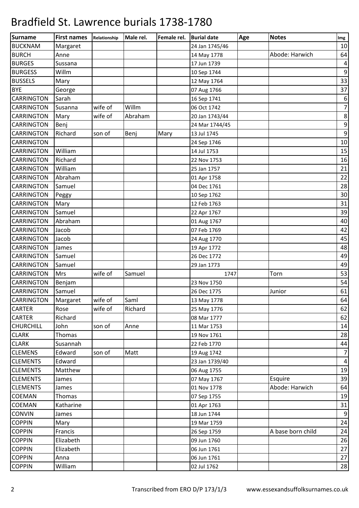| <b>Surname</b>    | <b>First names</b> | Relationship | Male rel. | Female rel. | <b>Burial date</b> | Age | <b>Notes</b>      | Img              |
|-------------------|--------------------|--------------|-----------|-------------|--------------------|-----|-------------------|------------------|
| <b>BUCKNAM</b>    | Margaret           |              |           |             | 24 Jan 1745/46     |     |                   | 10               |
| <b>BURCH</b>      | Anne               |              |           |             | 14 May 1778        |     | Abode: Harwich    | 64               |
| <b>BURGES</b>     | Sussana            |              |           |             | 17 Jun 1739        |     |                   | $\pmb{4}$        |
| <b>BURGESS</b>    | Willm              |              |           |             | 10 Sep 1744        |     |                   | $\boldsymbol{9}$ |
| <b>BUSSELS</b>    | Mary               |              |           |             | 12 May 1764        |     |                   | 33               |
| <b>BYE</b>        | George             |              |           |             | 07 Aug 1766        |     |                   | 37               |
| <b>CARRINGTON</b> | Sarah              |              |           |             | 16 Sep 1741        |     |                   | $\boldsymbol{6}$ |
| <b>CARRINGTON</b> | Susanna            | wife of      | Willm     |             | 06 Oct 1742        |     |                   | $\overline{7}$   |
| <b>CARRINGTON</b> | Mary               | wife of      | Abraham   |             | 20 Jan 1743/44     |     |                   | $\,8\,$          |
| <b>CARRINGTON</b> | Benj               |              |           |             | 24 Mar 1744/45     |     |                   | $\boldsymbol{9}$ |
| <b>CARRINGTON</b> | Richard            | son of       | Benj      | Mary        | 13 Jul 1745        |     |                   | $\boldsymbol{9}$ |
| <b>CARRINGTON</b> |                    |              |           |             | 24 Sep 1746        |     |                   | 10               |
| <b>CARRINGTON</b> | William            |              |           |             | 14 Jul 1753        |     |                   | 15               |
| <b>CARRINGTON</b> | Richard            |              |           |             | 22 Nov 1753        |     |                   | 16               |
| <b>CARRINGTON</b> | William            |              |           |             | 25 Jan 1757        |     |                   | 21               |
| <b>CARRINGTON</b> | Abraham            |              |           |             | 01 Apr 1758        |     |                   | 22               |
| <b>CARRINGTON</b> | Samuel             |              |           |             | 04 Dec 1761        |     |                   | 28               |
| <b>CARRINGTON</b> | Peggy              |              |           |             | 10 Sep 1762        |     |                   | 30               |
| <b>CARRINGTON</b> | Mary               |              |           |             | 12 Feb 1763        |     |                   | 31               |
| <b>CARRINGTON</b> | Samuel             |              |           |             | 22 Apr 1767        |     |                   | 39               |
| CARRINGTON        | Abraham            |              |           |             | 01 Aug 1767        |     |                   | 40               |
| <b>CARRINGTON</b> | Jacob              |              |           |             | 07 Feb 1769        |     |                   | 42               |
| <b>CARRINGTON</b> | Jacob              |              |           |             | 24 Aug 1770        |     |                   | 45               |
| <b>CARRINGTON</b> | James              |              |           |             | 19 Apr 1772        |     |                   | 48               |
| <b>CARRINGTON</b> | Samuel             |              |           |             | 26 Dec 1772        |     |                   | 49               |
| <b>CARRINGTON</b> | Samuel             |              |           |             | 29 Jan 1773        |     |                   | 49               |
| <b>CARRINGTON</b> | Mrs                | wife of      | Samuel    |             | 1747               |     | Torn              | 53               |
| <b>CARRINGTON</b> | Benjam             |              |           |             | 23 Nov 1750        |     |                   | 54               |
| <b>CARRINGTON</b> | Samuel             |              |           |             | 26 Dec 1775        |     | Junior            | 61               |
| <b>CARRINGTON</b> | Margaret           | wife of      | Saml      |             | 13 May 1778        |     |                   | 64               |
| <b>CARTER</b>     | Rose               | wife of      | Richard   |             | 25 May 1776        |     |                   | 62               |
| <b>CARTER</b>     | Richard            |              |           |             | 08 Mar 1777        |     |                   | 62               |
| <b>CHURCHILL</b>  | John               | son of       | Anne      |             | 11 Mar 1753        |     |                   | 14               |
| <b>CLARK</b>      | Thomas             |              |           |             | 19 Nov 1761        |     |                   | 28               |
| <b>CLARK</b>      | Susannah           |              |           |             | 22 Feb 1770        |     |                   | 44               |
| <b>CLEMENS</b>    | Edward             | son of       | Matt      |             | 19 Aug 1742        |     |                   | $\overline{7}$   |
| <b>CLEMENTS</b>   | Edward             |              |           |             | 23 Jan 1739/40     |     |                   | $\overline{4}$   |
| <b>CLEMENTS</b>   | Matthew            |              |           |             | 06 Aug 1755        |     |                   | 19               |
| <b>CLEMENTS</b>   | James              |              |           |             | 07 May 1767        |     | Esquire           | 39               |
| <b>CLEMENTS</b>   | James              |              |           |             | 01 Nov 1778        |     | Abode: Harwich    | 64               |
| <b>COEMAN</b>     | <b>Thomas</b>      |              |           |             | 07 Sep 1755        |     |                   | 19               |
| <b>COEMAN</b>     | Katharine          |              |           |             | 01 Apr 1763        |     |                   | 31               |
| <b>CONVIN</b>     | James              |              |           |             | 18 Jun 1744        |     |                   | $\boldsymbol{9}$ |
| <b>COPPIN</b>     | Mary               |              |           |             | 19 Mar 1759        |     |                   | 24               |
| <b>COPPIN</b>     | Francis            |              |           |             | 26 Sep 1759        |     | A base born child | 24               |
| <b>COPPIN</b>     | Elizabeth          |              |           |             | 09 Jun 1760        |     |                   | 26               |
| <b>COPPIN</b>     | Elizabeth          |              |           |             | 06 Jun 1761        |     |                   | 27               |
| <b>COPPIN</b>     | Anna               |              |           |             | 06 Jun 1761        |     |                   | 27               |
| <b>COPPIN</b>     | William            |              |           |             | 02 Jul 1762        |     |                   | 28               |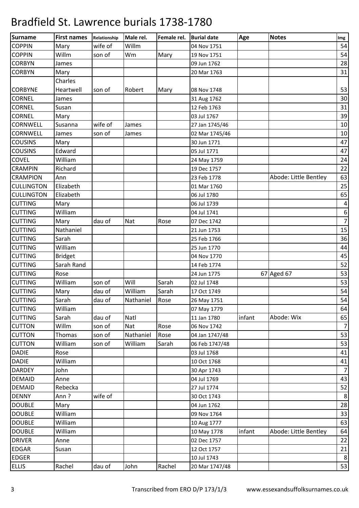| <b>Surname</b>    | <b>First names</b> | Relationship | Male rel. | Female rel. | <b>Burial date</b> | Age    | <b>Notes</b>          | Img              |
|-------------------|--------------------|--------------|-----------|-------------|--------------------|--------|-----------------------|------------------|
| <b>COPPIN</b>     | Mary               | wife of      | Willm     |             | 04 Nov 1751        |        |                       | 54               |
| <b>COPPIN</b>     | Willm              | son of       | Wm        | Mary        | 19 Nov 1751        |        |                       | 54               |
| <b>CORBYN</b>     | James              |              |           |             | 09 Jun 1762        |        |                       | 28               |
| <b>CORBYN</b>     | Mary               |              |           |             | 20 Mar 1763        |        |                       | 31               |
|                   | Charles            |              |           |             |                    |        |                       |                  |
| <b>CORBYNE</b>    | Heartwell          | son of       | Robert    | Mary        | 08 Nov 1748        |        |                       | 53               |
| <b>CORNEL</b>     | James              |              |           |             | 31 Aug 1762        |        |                       | 30               |
| <b>CORNEL</b>     | Susan              |              |           |             | 12 Feb 1763        |        |                       | 31               |
| <b>CORNEL</b>     | Mary               |              |           |             | 03 Jul 1767        |        |                       | 39               |
| <b>CORNWELL</b>   | Susanna            | wife of      | James     |             | 27 Jan 1745/46     |        |                       | 10               |
| <b>CORNWELL</b>   | James              | son of       | James     |             | 02 Mar 1745/46     |        |                       | 10               |
| <b>COUSINS</b>    | Mary               |              |           |             | 30 Jun 1771        |        |                       | 47               |
| <b>COUSINS</b>    | Edward             |              |           |             | 05 Jul 1771        |        |                       | 47               |
| <b>COVEL</b>      | William            |              |           |             | 24 May 1759        |        |                       | 24               |
| <b>CRAMPIN</b>    | Richard            |              |           |             | 19 Dec 1757        |        |                       | 22               |
| <b>CRAMPION</b>   | Ann                |              |           |             | 23 Feb 1778        |        | Abode: Little Bentley | 63               |
| <b>CULLINGTON</b> | Elizabeth          |              |           |             | 01 Mar 1760        |        |                       | 25               |
| <b>CULLINGTON</b> | Elizabeth          |              |           |             | 06 Jul 1780        |        |                       | 65               |
| <b>CUTTING</b>    | Mary               |              |           |             | 06 Jul 1739        |        |                       | $\overline{4}$   |
| <b>CUTTING</b>    | William            |              |           |             | 04 Jul 1741        |        |                       | $\boldsymbol{6}$ |
| <b>CUTTING</b>    | Mary               | dau of       | Nat       | Rose        | 07 Dec 1742        |        |                       | $\overline{7}$   |
| <b>CUTTING</b>    | Nathaniel          |              |           |             | 21 Jun 1753        |        |                       | 15               |
| <b>CUTTING</b>    | Sarah              |              |           |             | 25 Feb 1766        |        |                       | 36               |
| <b>CUTTING</b>    | William            |              |           |             | 25 Jun 1770        |        |                       | 44               |
| <b>CUTTING</b>    | <b>Bridget</b>     |              |           |             | 04 Nov 1770        |        |                       | 45               |
| <b>CUTTING</b>    | Sarah Rand         |              |           |             | 14 Feb 1774        |        |                       | 52               |
| <b>CUTTING</b>    | Rose               |              |           |             | 24 Jun 1775        |        | 67 Aged 67            | 53               |
| <b>CUTTING</b>    | William            | son of       | Will      | Sarah       | 02 Jul 1748        |        |                       | 53               |
| <b>CUTTING</b>    | Mary               | dau of       | William   | Sarah       | 17 Oct 1749        |        |                       | 54               |
| <b>CUTTING</b>    | Sarah              | dau of       | Nathaniel | Rose        | 26 May 1751        |        |                       | 54               |
| <b>CUTTING</b>    | William            |              |           |             | 07 May 1779        |        |                       | 64               |
| <b>CUTTING</b>    | Sarah              | dau of       | Natl      |             | 11 Jan 1780        | infant | Abode: Wix            | 65               |
| <b>CUTTON</b>     | Willm              | son of       | Nat       | Rose        | 06 Nov 1742        |        |                       | $\overline{7}$   |
| <b>CUTTON</b>     | Thomas             | son of       | Nathaniel | Rose        | 04 Jan 1747/48     |        |                       | 53               |
| <b>CUTTON</b>     | William            | son of       | William   | Sarah       | 06 Feb 1747/48     |        |                       | 53               |
| <b>DADIE</b>      | Rose               |              |           |             | 03 Jul 1768        |        |                       | 41               |
| <b>DADIE</b>      | William            |              |           |             | 10 Oct 1768        |        |                       | 41               |
| <b>DARDEY</b>     | John               |              |           |             | 30 Apr 1743        |        |                       | $\overline{7}$   |
| <b>DEMAID</b>     | Anne               |              |           |             | 04 Jul 1769        |        |                       | 43               |
| <b>DEMAID</b>     | Rebecka            |              |           |             | 27 Jul 1774        |        |                       | 52               |
| <b>DENNY</b>      | Ann?               | wife of      |           |             | 30 Oct 1743        |        |                       | $\,8\,$          |
| <b>DOUBLE</b>     | Mary               |              |           |             | 04 Jun 1762        |        |                       | 28               |
| <b>DOUBLE</b>     | William            |              |           |             | 09 Nov 1764        |        |                       | 33               |
| <b>DOUBLE</b>     | William            |              |           |             | 10 Aug 1777        |        |                       | 63               |
| <b>DOUBLE</b>     | William            |              |           |             | 10 May 1778        | infant | Abode: Little Bentley | 64               |
| <b>DRIVER</b>     | Anne               |              |           |             | 02 Dec 1757        |        |                       | 22               |
| <b>EDGAR</b>      | Susan              |              |           |             | 12 Oct 1757        |        |                       | 21               |
| <b>EDGER</b>      |                    |              |           |             | 10 Jul 1743        |        |                       | $\,8\,$          |
| <b>ELLIS</b>      | Rachel             | dau of       | John      | Rachel      | 20 Mar 1747/48     |        |                       | 53               |
|                   |                    |              |           |             |                    |        |                       |                  |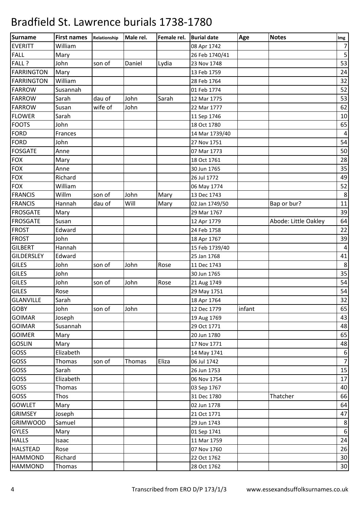| Surname           | <b>First names</b> | Relationship | Male rel. | Female rel. | <b>Burial date</b> | Age    | <b>Notes</b>         | Img              |
|-------------------|--------------------|--------------|-----------|-------------|--------------------|--------|----------------------|------------------|
| <b>EVERITT</b>    | William            |              |           |             | 08 Apr 1742        |        |                      | $\overline{7}$   |
| <b>FALL</b>       | Mary               |              |           |             | 26 Feb 1740/41     |        |                      | 5                |
| FALL ?            | John               | son of       | Daniel    | Lydia       | 23 Nov 1748        |        |                      | 53               |
| <b>FARRINGTON</b> | Mary               |              |           |             | 13 Feb 1759        |        |                      | 24               |
| FARRINGTON        | William            |              |           |             | 28 Feb 1764        |        |                      | 32               |
| <b>FARROW</b>     | Susannah           |              |           |             | 01 Feb 1774        |        |                      | 52               |
| <b>FARROW</b>     | Sarah              | dau of       | John      | Sarah       | 12 Mar 1775        |        |                      | 53               |
| <b>FARROW</b>     | Susan              | wife of      | John      |             | 22 Mar 1777        |        |                      | 62               |
| <b>FLOWER</b>     | Sarah              |              |           |             | 11 Sep 1746        |        |                      | 10               |
| <b>FOOTS</b>      | John               |              |           |             | 18 Oct 1780        |        |                      | 65               |
| <b>FORD</b>       | Frances            |              |           |             | 14 Mar 1739/40     |        |                      | $\sqrt{4}$       |
| FORD              | John               |              |           |             | 27 Nov 1751        |        |                      | 54               |
| <b>FOSGATE</b>    | Anne               |              |           |             | 07 Mar 1773        |        |                      | 50               |
| <b>FOX</b>        | Mary               |              |           |             | 18 Oct 1761        |        |                      | 28               |
| <b>FOX</b>        | Anne               |              |           |             | 30 Jun 1765        |        |                      | 35               |
| <b>FOX</b>        | Richard            |              |           |             | 26 Jul 1772        |        |                      | 49               |
| <b>FOX</b>        | William            |              |           |             | 06 May 1774        |        |                      | 52               |
| <b>FRANCIS</b>    | Willm              | son of       | John      | Mary        | 13 Dec 1743        |        |                      | $\,8\,$          |
| <b>FRANCIS</b>    | Hannah             | dau of       | Will      | Mary        | 02 Jan 1749/50     |        | Bap or bur?          | 11               |
| <b>FROSGATE</b>   | Mary               |              |           |             | 29 Mar 1767        |        |                      | 39               |
| <b>FROSGATE</b>   | Susan              |              |           |             | 12 Apr 1779        |        | Abode: Little Oakley | 64               |
| <b>FROST</b>      | Edward             |              |           |             | 24 Feb 1758        |        |                      | 22               |
| <b>FROST</b>      | John               |              |           |             | 18 Apr 1767        |        |                      | 39               |
| <b>GILBERT</b>    | Hannah             |              |           |             | 15 Feb 1739/40     |        |                      | $\sqrt{4}$       |
| <b>GILDERSLEY</b> | Edward             |              |           |             | 25 Jan 1768        |        |                      | 41               |
| <b>GILES</b>      | John               | son of       | John      | Rose        | 11 Dec 1743        |        |                      | $\,8\,$          |
| <b>GILES</b>      | John               |              |           |             | 30 Jun 1765        |        |                      | 35               |
| <b>GILES</b>      | John               | son of       | John      | Rose        | 21 Aug 1749        |        |                      | 54               |
| <b>GILES</b>      | Rose               |              |           |             | 29 May 1751        |        |                      | 54               |
| <b>GLANVILLE</b>  | Sarah              |              |           |             | 18 Apr 1764        |        |                      | 32               |
| <b>GOBY</b>       | John               | son of       | John      |             | 12 Dec 1779        | infant |                      | 65               |
| <b>GOIMAR</b>     | Joseph             |              |           |             | 19 Aug 1769        |        |                      | 43               |
| <b>GOIMAR</b>     | Susannah           |              |           |             | 29 Oct 1771        |        |                      | 48               |
| <b>GOIMER</b>     | Mary               |              |           |             | 20 Jun 1780        |        |                      | 65               |
| <b>GOSLIN</b>     | Mary               |              |           |             | 17 Nov 1771        |        |                      | 48               |
| <b>GOSS</b>       | Elizabeth          |              |           |             | 14 May 1741        |        |                      | $\boldsymbol{6}$ |
| GOSS              | Thomas             | son of       | Thomas    | Eliza       | 06 Jul 1742        |        |                      | $\overline{7}$   |
| <b>GOSS</b>       | Sarah              |              |           |             | 26 Jun 1753        |        |                      | 15               |
| GOSS              | Elizabeth          |              |           |             | 06 Nov 1754        |        |                      | 17               |
| GOSS              | <b>Thomas</b>      |              |           |             | 03 Sep 1767        |        |                      | 40               |
| GOSS              | Thos               |              |           |             | 31 Dec 1780        |        | Thatcher             | 66               |
| <b>GOWLET</b>     |                    |              |           |             | 02 Jun 1778        |        |                      | 64               |
| <b>GRIMSEY</b>    | Mary               |              |           |             | 21 Oct 1771        |        |                      | 47               |
| <b>GRIMWOOD</b>   | Joseph<br>Samuel   |              |           |             | 29 Jun 1743        |        |                      | $\,8\,$          |
|                   |                    |              |           |             |                    |        |                      |                  |
| <b>GYLES</b>      | Mary               |              |           |             | 01 Sep 1741        |        |                      | $\boldsymbol{6}$ |
| <b>HALLS</b>      | Isaac              |              |           |             | 11 Mar 1759        |        |                      | 24               |
| <b>HALSTEAD</b>   | Rose               |              |           |             | 07 Nov 1760        |        |                      | 26               |
| <b>HAMMOND</b>    | Richard            |              |           |             | 22 Oct 1762        |        |                      | $30\,$           |
| <b>HAMMOND</b>    | Thomas             |              |           |             | 28 Oct 1762        |        |                      | 30               |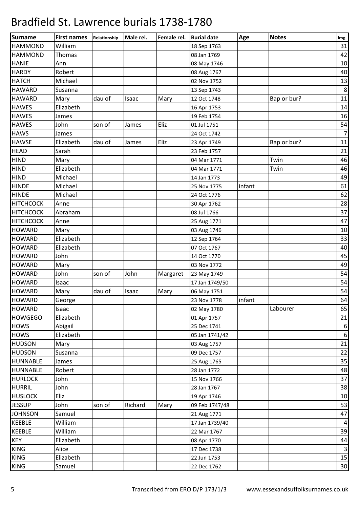| <b>Surname</b>   | <b>First names</b> | Relationship | Male rel. | Female rel. | <b>Burial date</b> | Age    | <b>Notes</b> | Img              |
|------------------|--------------------|--------------|-----------|-------------|--------------------|--------|--------------|------------------|
| <b>HAMMOND</b>   | William            |              |           |             | 18 Sep 1763        |        |              | 31               |
| <b>HAMMOND</b>   | Thomas             |              |           |             | 08 Jan 1769        |        |              | 42               |
| <b>HANIE</b>     | Ann                |              |           |             | 08 May 1746        |        |              | 10               |
| <b>HARDY</b>     | Robert             |              |           |             | 08 Aug 1767        |        |              | 40               |
| <b>HATCH</b>     | Michael            |              |           |             | 02 Nov 1752        |        |              | 13               |
| <b>HAWARD</b>    | Susanna            |              |           |             | 13 Sep 1743        |        |              | $\,8\,$          |
| <b>HAWARD</b>    | Mary               | dau of       | Isaac     | Mary        | 12 Oct 1748        |        | Bap or bur?  | 11               |
| <b>HAWES</b>     | Elizabeth          |              |           |             | 16 Apr 1753        |        |              | 14               |
| <b>HAWES</b>     | James              |              |           |             | 19 Feb 1754        |        |              | 16               |
| <b>HAWES</b>     | John               | son of       | James     | Eliz        | 01 Jul 1751        |        |              | 54               |
| <b>HAWS</b>      | James              |              |           |             | 24 Oct 1742        |        |              | $\overline{7}$   |
| <b>HAWSE</b>     | Elizabeth          | dau of       | James     | Eliz        | 23 Apr 1749        |        | Bap or bur?  | 11               |
| <b>HEAD</b>      | Sarah              |              |           |             | 23 Feb 1757        |        |              | 21               |
| <b>HIND</b>      | Mary               |              |           |             | 04 Mar 1771        |        | Twin         | 46               |
| <b>HIND</b>      | Elizabeth          |              |           |             | 04 Mar 1771        |        | Twin         | 46               |
| <b>HIND</b>      | Michael            |              |           |             | 14 Jan 1773        |        |              | 49               |
| <b>HINDE</b>     | Michael            |              |           |             | 25 Nov 1775        | infant |              | 61               |
| <b>HINDE</b>     | Michael            |              |           |             | 24 Oct 1776        |        |              | 62               |
| <b>HITCHCOCK</b> | Anne               |              |           |             | 30 Apr 1762        |        |              | 28               |
| <b>HITCHCOCK</b> | Abraham            |              |           |             | 08 Jul 1766        |        |              | 37               |
| <b>HITCHCOCK</b> | Anne               |              |           |             | 25 Aug 1771        |        |              | 47               |
| <b>HOWARD</b>    | Mary               |              |           |             | 03 Aug 1746        |        |              | 10               |
| <b>HOWARD</b>    | Elizabeth          |              |           |             | 12 Sep 1764        |        |              | 33               |
| <b>HOWARD</b>    | Elizabeth          |              |           |             | 07 Oct 1767        |        |              | 40               |
| <b>HOWARD</b>    | John               |              |           |             | 14 Oct 1770        |        |              | 45               |
| <b>HOWARD</b>    | Mary               |              |           |             | 03 Nov 1772        |        |              | 49               |
| <b>HOWARD</b>    | John               | son of       | John      | Margaret    | 23 May 1749        |        |              | 54               |
| <b>HOWARD</b>    | Isaac              |              |           |             | 17 Jan 1749/50     |        |              | 54               |
| <b>HOWARD</b>    | Mary               | dau of       | Isaac     | Mary        | 06 May 1751        |        |              | 54               |
| <b>HOWARD</b>    | George             |              |           |             | 23 Nov 1778        | infant |              | 64               |
| <b>HOWARD</b>    | Isaac              |              |           |             | 02 May 1780        |        | Labourer     | 65               |
| <b>HOWGEGO</b>   | Elizabeth          |              |           |             | 01 Apr 1757        |        |              | 21               |
| <b>HOWS</b>      | Abigail            |              |           |             | 25 Dec 1741        |        |              | $\boldsymbol{6}$ |
| <b>HOWS</b>      | Elizabeth          |              |           |             | 05 Jan 1741/42     |        |              | $\,6\,$          |
| <b>HUDSON</b>    | Mary               |              |           |             | 03 Aug 1757        |        |              | 21               |
| <b>HUDSON</b>    | Susanna            |              |           |             | 09 Dec 1757        |        |              | 22               |
| <b>HUNNABLE</b>  | James              |              |           |             | 25 Aug 1765        |        |              | 35               |
| <b>HUNNABLE</b>  | Robert             |              |           |             | 28 Jan 1772        |        |              | 48               |
| <b>HURLOCK</b>   | John               |              |           |             | 15 Nov 1766        |        |              | 37               |
| <b>HURRIL</b>    | John               |              |           |             | 28 Jan 1767        |        |              | 38               |
| <b>HUSLOCK</b>   | Eliz               |              |           |             | 19 Apr 1746        |        |              | $10\,$           |
| <b>JESSUP</b>    | John               | son of       | Richard   | Mary        | 09 Feb 1747/48     |        |              | 53               |
| <b>JOHNSON</b>   | Samuel             |              |           |             | 21 Aug 1771        |        |              | 47               |
| <b>KEEBLE</b>    | William            |              |           |             | 17 Jan 1739/40     |        |              | $\overline{4}$   |
| <b>KEEBLE</b>    | William            |              |           |             | 22 Mar 1767        |        |              | 39               |
| <b>KEY</b>       | Elizabeth          |              |           |             | 08 Apr 1770        |        |              | 44               |
| <b>KING</b>      | Alice              |              |           |             | 17 Dec 1738        |        |              | $\mathbf{3}$     |
| <b>KING</b>      | Elizabeth          |              |           |             | 22 Jun 1753        |        |              | 15               |
| <b>KING</b>      | Samuel             |              |           |             | 22 Dec 1762        |        |              | 30               |
|                  |                    |              |           |             |                    |        |              |                  |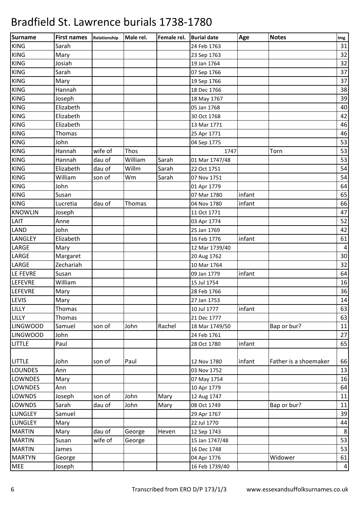| Sarah<br>31<br>24 Feb 1763<br>32<br>Mary<br>23 Sep 1763<br>32<br>Josiah<br>19 Jan 1764<br>37<br>Sarah<br>07 Sep 1766<br>37<br>Mary<br>19 Sep 1766<br>38<br>Hannah<br>18 Dec 1766<br>39<br>Joseph<br>18 May 1767<br>40<br>Elizabeth<br>05 Jan 1768<br>Elizabeth<br>42<br>30 Oct 1768<br>46<br>Elizabeth<br>13 Mar 1771<br>46<br>Thomas<br>25 Apr 1771<br>53<br>John<br>04 Sep 1775<br>53<br>wife of<br>Thos<br>Torn<br>Hannah<br>1747<br>53<br>dau of<br>William<br>Sarah<br>Hannah<br>01 Mar 1747/48<br>54<br>Elizabeth<br>dau of<br>Willm<br>Sarah<br>22 Oct 1751<br>54<br>William<br>Sarah<br>son of<br>Wm<br>07 Nov 1751<br>John<br>64<br>01 Apr 1779<br>infant<br>65<br>Susan<br>07 Mar 1780<br>infant<br>66<br>dau of<br>Lucretia<br>Thomas<br>04 Nov 1780<br>47<br>Joseph<br>11 Oct 1771<br>52<br>Anne<br>03 Apr 1774<br>John<br>42<br>25 Jan 1769<br>Elizabeth<br>infant<br>61<br>16 Feb 1776<br>$\sqrt{4}$<br>Mary<br>12 Mar 1739/40<br>30<br>20 Aug 1762<br>Margaret<br>32<br>Zechariah<br>10 Mar 1764<br>64<br>infant<br>Susan<br>09 Jan 1779<br>16<br>William<br>15 Jul 1754<br>36<br>28 Feb 1766<br>Mary<br>14<br>Mary<br>27 Jan 1753<br>infant<br>63<br>Thomas<br>10 Jul 1777<br><b>LILLY</b><br>63<br>Thomas<br>21 Dec 1777<br>son of<br>John<br>Rachel<br>Bap or bur?<br>Samuel<br>11<br>18 Mar 1749/50<br>John<br>27<br>24 Feb 1761<br>infant<br>Paul<br>65<br>28 Oct 1780<br>66<br><b>LITTLE</b><br>son of<br>Paul<br>infant<br>Father is a shoemaker<br>John<br>12 Nov 1780<br>13<br>Ann<br>03 Nov 1752<br>16<br>Mary<br>07 May 1754<br>64<br>10 Apr 1779<br>Ann<br><b>LOWNDS</b><br>Mary<br>11<br>Joseph<br>son of<br>John<br>12 Aug 1747<br>dau of<br><b>LOWNDS</b><br>Sarah<br>John<br>Mary<br>08 Oct 1749<br>Bap or bur?<br>11<br>39<br><b>LUNGLEY</b><br>Samuel<br>29 Apr 1767<br><b>LUNGLEY</b><br>22 Jul 1770<br>44<br>Mary<br>$\,8\,$<br>dau of<br><b>MARTIN</b><br>Heven<br>George<br>12 Sep 1743<br>Mary<br>53<br>wife of<br>Susan<br>George<br>15 Jan 1747/48<br>53<br>16 Dec 1748<br>James<br>Widower<br>61<br>04 Apr 1776<br>George<br><b>MEE</b><br>Joseph<br>16 Feb 1739/40<br>$\overline{4}$ | <b>Surname</b>  | <b>First names</b> | Relationship | Male rel. | Female rel. | <b>Burial date</b> | Age | <b>Notes</b> | Img |
|--------------------------------------------------------------------------------------------------------------------------------------------------------------------------------------------------------------------------------------------------------------------------------------------------------------------------------------------------------------------------------------------------------------------------------------------------------------------------------------------------------------------------------------------------------------------------------------------------------------------------------------------------------------------------------------------------------------------------------------------------------------------------------------------------------------------------------------------------------------------------------------------------------------------------------------------------------------------------------------------------------------------------------------------------------------------------------------------------------------------------------------------------------------------------------------------------------------------------------------------------------------------------------------------------------------------------------------------------------------------------------------------------------------------------------------------------------------------------------------------------------------------------------------------------------------------------------------------------------------------------------------------------------------------------------------------------------------------------------------------------------------------------------------------------------------------------------------------------------------------------------------------------------------------------------------------------------------------------------------------------------------------------------------------------------------------------------------------------------------------------------|-----------------|--------------------|--------------|-----------|-------------|--------------------|-----|--------------|-----|
|                                                                                                                                                                                                                                                                                                                                                                                                                                                                                                                                                                                                                                                                                                                                                                                                                                                                                                                                                                                                                                                                                                                                                                                                                                                                                                                                                                                                                                                                                                                                                                                                                                                                                                                                                                                                                                                                                                                                                                                                                                                                                                                                | <b>KING</b>     |                    |              |           |             |                    |     |              |     |
|                                                                                                                                                                                                                                                                                                                                                                                                                                                                                                                                                                                                                                                                                                                                                                                                                                                                                                                                                                                                                                                                                                                                                                                                                                                                                                                                                                                                                                                                                                                                                                                                                                                                                                                                                                                                                                                                                                                                                                                                                                                                                                                                | <b>KING</b>     |                    |              |           |             |                    |     |              |     |
|                                                                                                                                                                                                                                                                                                                                                                                                                                                                                                                                                                                                                                                                                                                                                                                                                                                                                                                                                                                                                                                                                                                                                                                                                                                                                                                                                                                                                                                                                                                                                                                                                                                                                                                                                                                                                                                                                                                                                                                                                                                                                                                                | <b>KING</b>     |                    |              |           |             |                    |     |              |     |
|                                                                                                                                                                                                                                                                                                                                                                                                                                                                                                                                                                                                                                                                                                                                                                                                                                                                                                                                                                                                                                                                                                                                                                                                                                                                                                                                                                                                                                                                                                                                                                                                                                                                                                                                                                                                                                                                                                                                                                                                                                                                                                                                | <b>KING</b>     |                    |              |           |             |                    |     |              |     |
|                                                                                                                                                                                                                                                                                                                                                                                                                                                                                                                                                                                                                                                                                                                                                                                                                                                                                                                                                                                                                                                                                                                                                                                                                                                                                                                                                                                                                                                                                                                                                                                                                                                                                                                                                                                                                                                                                                                                                                                                                                                                                                                                | <b>KING</b>     |                    |              |           |             |                    |     |              |     |
|                                                                                                                                                                                                                                                                                                                                                                                                                                                                                                                                                                                                                                                                                                                                                                                                                                                                                                                                                                                                                                                                                                                                                                                                                                                                                                                                                                                                                                                                                                                                                                                                                                                                                                                                                                                                                                                                                                                                                                                                                                                                                                                                | <b>KING</b>     |                    |              |           |             |                    |     |              |     |
|                                                                                                                                                                                                                                                                                                                                                                                                                                                                                                                                                                                                                                                                                                                                                                                                                                                                                                                                                                                                                                                                                                                                                                                                                                                                                                                                                                                                                                                                                                                                                                                                                                                                                                                                                                                                                                                                                                                                                                                                                                                                                                                                | <b>KING</b>     |                    |              |           |             |                    |     |              |     |
|                                                                                                                                                                                                                                                                                                                                                                                                                                                                                                                                                                                                                                                                                                                                                                                                                                                                                                                                                                                                                                                                                                                                                                                                                                                                                                                                                                                                                                                                                                                                                                                                                                                                                                                                                                                                                                                                                                                                                                                                                                                                                                                                | <b>KING</b>     |                    |              |           |             |                    |     |              |     |
|                                                                                                                                                                                                                                                                                                                                                                                                                                                                                                                                                                                                                                                                                                                                                                                                                                                                                                                                                                                                                                                                                                                                                                                                                                                                                                                                                                                                                                                                                                                                                                                                                                                                                                                                                                                                                                                                                                                                                                                                                                                                                                                                | <b>KING</b>     |                    |              |           |             |                    |     |              |     |
|                                                                                                                                                                                                                                                                                                                                                                                                                                                                                                                                                                                                                                                                                                                                                                                                                                                                                                                                                                                                                                                                                                                                                                                                                                                                                                                                                                                                                                                                                                                                                                                                                                                                                                                                                                                                                                                                                                                                                                                                                                                                                                                                | <b>KING</b>     |                    |              |           |             |                    |     |              |     |
|                                                                                                                                                                                                                                                                                                                                                                                                                                                                                                                                                                                                                                                                                                                                                                                                                                                                                                                                                                                                                                                                                                                                                                                                                                                                                                                                                                                                                                                                                                                                                                                                                                                                                                                                                                                                                                                                                                                                                                                                                                                                                                                                | <b>KING</b>     |                    |              |           |             |                    |     |              |     |
|                                                                                                                                                                                                                                                                                                                                                                                                                                                                                                                                                                                                                                                                                                                                                                                                                                                                                                                                                                                                                                                                                                                                                                                                                                                                                                                                                                                                                                                                                                                                                                                                                                                                                                                                                                                                                                                                                                                                                                                                                                                                                                                                | <b>KING</b>     |                    |              |           |             |                    |     |              |     |
|                                                                                                                                                                                                                                                                                                                                                                                                                                                                                                                                                                                                                                                                                                                                                                                                                                                                                                                                                                                                                                                                                                                                                                                                                                                                                                                                                                                                                                                                                                                                                                                                                                                                                                                                                                                                                                                                                                                                                                                                                                                                                                                                | <b>KING</b>     |                    |              |           |             |                    |     |              |     |
|                                                                                                                                                                                                                                                                                                                                                                                                                                                                                                                                                                                                                                                                                                                                                                                                                                                                                                                                                                                                                                                                                                                                                                                                                                                                                                                                                                                                                                                                                                                                                                                                                                                                                                                                                                                                                                                                                                                                                                                                                                                                                                                                | <b>KING</b>     |                    |              |           |             |                    |     |              |     |
|                                                                                                                                                                                                                                                                                                                                                                                                                                                                                                                                                                                                                                                                                                                                                                                                                                                                                                                                                                                                                                                                                                                                                                                                                                                                                                                                                                                                                                                                                                                                                                                                                                                                                                                                                                                                                                                                                                                                                                                                                                                                                                                                | <b>KING</b>     |                    |              |           |             |                    |     |              |     |
|                                                                                                                                                                                                                                                                                                                                                                                                                                                                                                                                                                                                                                                                                                                                                                                                                                                                                                                                                                                                                                                                                                                                                                                                                                                                                                                                                                                                                                                                                                                                                                                                                                                                                                                                                                                                                                                                                                                                                                                                                                                                                                                                | <b>KING</b>     |                    |              |           |             |                    |     |              |     |
|                                                                                                                                                                                                                                                                                                                                                                                                                                                                                                                                                                                                                                                                                                                                                                                                                                                                                                                                                                                                                                                                                                                                                                                                                                                                                                                                                                                                                                                                                                                                                                                                                                                                                                                                                                                                                                                                                                                                                                                                                                                                                                                                | <b>KING</b>     |                    |              |           |             |                    |     |              |     |
|                                                                                                                                                                                                                                                                                                                                                                                                                                                                                                                                                                                                                                                                                                                                                                                                                                                                                                                                                                                                                                                                                                                                                                                                                                                                                                                                                                                                                                                                                                                                                                                                                                                                                                                                                                                                                                                                                                                                                                                                                                                                                                                                | <b>KING</b>     |                    |              |           |             |                    |     |              |     |
|                                                                                                                                                                                                                                                                                                                                                                                                                                                                                                                                                                                                                                                                                                                                                                                                                                                                                                                                                                                                                                                                                                                                                                                                                                                                                                                                                                                                                                                                                                                                                                                                                                                                                                                                                                                                                                                                                                                                                                                                                                                                                                                                | <b>KING</b>     |                    |              |           |             |                    |     |              |     |
|                                                                                                                                                                                                                                                                                                                                                                                                                                                                                                                                                                                                                                                                                                                                                                                                                                                                                                                                                                                                                                                                                                                                                                                                                                                                                                                                                                                                                                                                                                                                                                                                                                                                                                                                                                                                                                                                                                                                                                                                                                                                                                                                | <b>KNOWLIN</b>  |                    |              |           |             |                    |     |              |     |
|                                                                                                                                                                                                                                                                                                                                                                                                                                                                                                                                                                                                                                                                                                                                                                                                                                                                                                                                                                                                                                                                                                                                                                                                                                                                                                                                                                                                                                                                                                                                                                                                                                                                                                                                                                                                                                                                                                                                                                                                                                                                                                                                | LAIT            |                    |              |           |             |                    |     |              |     |
|                                                                                                                                                                                                                                                                                                                                                                                                                                                                                                                                                                                                                                                                                                                                                                                                                                                                                                                                                                                                                                                                                                                                                                                                                                                                                                                                                                                                                                                                                                                                                                                                                                                                                                                                                                                                                                                                                                                                                                                                                                                                                                                                | <b>LAND</b>     |                    |              |           |             |                    |     |              |     |
|                                                                                                                                                                                                                                                                                                                                                                                                                                                                                                                                                                                                                                                                                                                                                                                                                                                                                                                                                                                                                                                                                                                                                                                                                                                                                                                                                                                                                                                                                                                                                                                                                                                                                                                                                                                                                                                                                                                                                                                                                                                                                                                                | <b>LANGLEY</b>  |                    |              |           |             |                    |     |              |     |
|                                                                                                                                                                                                                                                                                                                                                                                                                                                                                                                                                                                                                                                                                                                                                                                                                                                                                                                                                                                                                                                                                                                                                                                                                                                                                                                                                                                                                                                                                                                                                                                                                                                                                                                                                                                                                                                                                                                                                                                                                                                                                                                                | LARGE           |                    |              |           |             |                    |     |              |     |
|                                                                                                                                                                                                                                                                                                                                                                                                                                                                                                                                                                                                                                                                                                                                                                                                                                                                                                                                                                                                                                                                                                                                                                                                                                                                                                                                                                                                                                                                                                                                                                                                                                                                                                                                                                                                                                                                                                                                                                                                                                                                                                                                | LARGE           |                    |              |           |             |                    |     |              |     |
|                                                                                                                                                                                                                                                                                                                                                                                                                                                                                                                                                                                                                                                                                                                                                                                                                                                                                                                                                                                                                                                                                                                                                                                                                                                                                                                                                                                                                                                                                                                                                                                                                                                                                                                                                                                                                                                                                                                                                                                                                                                                                                                                | LARGE           |                    |              |           |             |                    |     |              |     |
|                                                                                                                                                                                                                                                                                                                                                                                                                                                                                                                                                                                                                                                                                                                                                                                                                                                                                                                                                                                                                                                                                                                                                                                                                                                                                                                                                                                                                                                                                                                                                                                                                                                                                                                                                                                                                                                                                                                                                                                                                                                                                                                                | LE FEVRE        |                    |              |           |             |                    |     |              |     |
|                                                                                                                                                                                                                                                                                                                                                                                                                                                                                                                                                                                                                                                                                                                                                                                                                                                                                                                                                                                                                                                                                                                                                                                                                                                                                                                                                                                                                                                                                                                                                                                                                                                                                                                                                                                                                                                                                                                                                                                                                                                                                                                                | <b>LEFEVRE</b>  |                    |              |           |             |                    |     |              |     |
|                                                                                                                                                                                                                                                                                                                                                                                                                                                                                                                                                                                                                                                                                                                                                                                                                                                                                                                                                                                                                                                                                                                                                                                                                                                                                                                                                                                                                                                                                                                                                                                                                                                                                                                                                                                                                                                                                                                                                                                                                                                                                                                                | <b>LEFEVRE</b>  |                    |              |           |             |                    |     |              |     |
|                                                                                                                                                                                                                                                                                                                                                                                                                                                                                                                                                                                                                                                                                                                                                                                                                                                                                                                                                                                                                                                                                                                                                                                                                                                                                                                                                                                                                                                                                                                                                                                                                                                                                                                                                                                                                                                                                                                                                                                                                                                                                                                                | LEVIS           |                    |              |           |             |                    |     |              |     |
|                                                                                                                                                                                                                                                                                                                                                                                                                                                                                                                                                                                                                                                                                                                                                                                                                                                                                                                                                                                                                                                                                                                                                                                                                                                                                                                                                                                                                                                                                                                                                                                                                                                                                                                                                                                                                                                                                                                                                                                                                                                                                                                                | LILLY           |                    |              |           |             |                    |     |              |     |
|                                                                                                                                                                                                                                                                                                                                                                                                                                                                                                                                                                                                                                                                                                                                                                                                                                                                                                                                                                                                                                                                                                                                                                                                                                                                                                                                                                                                                                                                                                                                                                                                                                                                                                                                                                                                                                                                                                                                                                                                                                                                                                                                |                 |                    |              |           |             |                    |     |              |     |
|                                                                                                                                                                                                                                                                                                                                                                                                                                                                                                                                                                                                                                                                                                                                                                                                                                                                                                                                                                                                                                                                                                                                                                                                                                                                                                                                                                                                                                                                                                                                                                                                                                                                                                                                                                                                                                                                                                                                                                                                                                                                                                                                | <b>LINGWOOD</b> |                    |              |           |             |                    |     |              |     |
|                                                                                                                                                                                                                                                                                                                                                                                                                                                                                                                                                                                                                                                                                                                                                                                                                                                                                                                                                                                                                                                                                                                                                                                                                                                                                                                                                                                                                                                                                                                                                                                                                                                                                                                                                                                                                                                                                                                                                                                                                                                                                                                                | <b>LINGWOOD</b> |                    |              |           |             |                    |     |              |     |
|                                                                                                                                                                                                                                                                                                                                                                                                                                                                                                                                                                                                                                                                                                                                                                                                                                                                                                                                                                                                                                                                                                                                                                                                                                                                                                                                                                                                                                                                                                                                                                                                                                                                                                                                                                                                                                                                                                                                                                                                                                                                                                                                | <b>LITTLE</b>   |                    |              |           |             |                    |     |              |     |
|                                                                                                                                                                                                                                                                                                                                                                                                                                                                                                                                                                                                                                                                                                                                                                                                                                                                                                                                                                                                                                                                                                                                                                                                                                                                                                                                                                                                                                                                                                                                                                                                                                                                                                                                                                                                                                                                                                                                                                                                                                                                                                                                |                 |                    |              |           |             |                    |     |              |     |
|                                                                                                                                                                                                                                                                                                                                                                                                                                                                                                                                                                                                                                                                                                                                                                                                                                                                                                                                                                                                                                                                                                                                                                                                                                                                                                                                                                                                                                                                                                                                                                                                                                                                                                                                                                                                                                                                                                                                                                                                                                                                                                                                | <b>LOUNDES</b>  |                    |              |           |             |                    |     |              |     |
|                                                                                                                                                                                                                                                                                                                                                                                                                                                                                                                                                                                                                                                                                                                                                                                                                                                                                                                                                                                                                                                                                                                                                                                                                                                                                                                                                                                                                                                                                                                                                                                                                                                                                                                                                                                                                                                                                                                                                                                                                                                                                                                                | <b>LOWNDES</b>  |                    |              |           |             |                    |     |              |     |
|                                                                                                                                                                                                                                                                                                                                                                                                                                                                                                                                                                                                                                                                                                                                                                                                                                                                                                                                                                                                                                                                                                                                                                                                                                                                                                                                                                                                                                                                                                                                                                                                                                                                                                                                                                                                                                                                                                                                                                                                                                                                                                                                | <b>LOWNDES</b>  |                    |              |           |             |                    |     |              |     |
|                                                                                                                                                                                                                                                                                                                                                                                                                                                                                                                                                                                                                                                                                                                                                                                                                                                                                                                                                                                                                                                                                                                                                                                                                                                                                                                                                                                                                                                                                                                                                                                                                                                                                                                                                                                                                                                                                                                                                                                                                                                                                                                                |                 |                    |              |           |             |                    |     |              |     |
|                                                                                                                                                                                                                                                                                                                                                                                                                                                                                                                                                                                                                                                                                                                                                                                                                                                                                                                                                                                                                                                                                                                                                                                                                                                                                                                                                                                                                                                                                                                                                                                                                                                                                                                                                                                                                                                                                                                                                                                                                                                                                                                                |                 |                    |              |           |             |                    |     |              |     |
|                                                                                                                                                                                                                                                                                                                                                                                                                                                                                                                                                                                                                                                                                                                                                                                                                                                                                                                                                                                                                                                                                                                                                                                                                                                                                                                                                                                                                                                                                                                                                                                                                                                                                                                                                                                                                                                                                                                                                                                                                                                                                                                                |                 |                    |              |           |             |                    |     |              |     |
|                                                                                                                                                                                                                                                                                                                                                                                                                                                                                                                                                                                                                                                                                                                                                                                                                                                                                                                                                                                                                                                                                                                                                                                                                                                                                                                                                                                                                                                                                                                                                                                                                                                                                                                                                                                                                                                                                                                                                                                                                                                                                                                                |                 |                    |              |           |             |                    |     |              |     |
|                                                                                                                                                                                                                                                                                                                                                                                                                                                                                                                                                                                                                                                                                                                                                                                                                                                                                                                                                                                                                                                                                                                                                                                                                                                                                                                                                                                                                                                                                                                                                                                                                                                                                                                                                                                                                                                                                                                                                                                                                                                                                                                                |                 |                    |              |           |             |                    |     |              |     |
|                                                                                                                                                                                                                                                                                                                                                                                                                                                                                                                                                                                                                                                                                                                                                                                                                                                                                                                                                                                                                                                                                                                                                                                                                                                                                                                                                                                                                                                                                                                                                                                                                                                                                                                                                                                                                                                                                                                                                                                                                                                                                                                                | <b>MARTIN</b>   |                    |              |           |             |                    |     |              |     |
|                                                                                                                                                                                                                                                                                                                                                                                                                                                                                                                                                                                                                                                                                                                                                                                                                                                                                                                                                                                                                                                                                                                                                                                                                                                                                                                                                                                                                                                                                                                                                                                                                                                                                                                                                                                                                                                                                                                                                                                                                                                                                                                                | <b>MARTIN</b>   |                    |              |           |             |                    |     |              |     |
|                                                                                                                                                                                                                                                                                                                                                                                                                                                                                                                                                                                                                                                                                                                                                                                                                                                                                                                                                                                                                                                                                                                                                                                                                                                                                                                                                                                                                                                                                                                                                                                                                                                                                                                                                                                                                                                                                                                                                                                                                                                                                                                                | <b>MARTYN</b>   |                    |              |           |             |                    |     |              |     |
|                                                                                                                                                                                                                                                                                                                                                                                                                                                                                                                                                                                                                                                                                                                                                                                                                                                                                                                                                                                                                                                                                                                                                                                                                                                                                                                                                                                                                                                                                                                                                                                                                                                                                                                                                                                                                                                                                                                                                                                                                                                                                                                                |                 |                    |              |           |             |                    |     |              |     |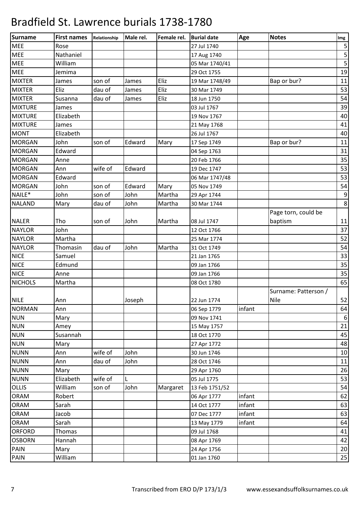| <b>Surname</b> | <b>First names</b> | Relationship | Male rel. | Female rel. | <b>Burial date</b> | Age    | <b>Notes</b>         | Img              |
|----------------|--------------------|--------------|-----------|-------------|--------------------|--------|----------------------|------------------|
| <b>MEE</b>     | Rose               |              |           |             | 27 Jul 1740        |        |                      | $\mathsf S$      |
| <b>MEE</b>     | Nathaniel          |              |           |             | 17 Aug 1740        |        |                      | $\frac{5}{5}$    |
| MEE            | William            |              |           |             | 05 Mar 1740/41     |        |                      |                  |
| <b>MEE</b>     | Jemima             |              |           |             | 29 Oct 1755        |        |                      | 19               |
| <b>MIXTER</b>  | James              | son of       | James     | Eliz        | 19 Mar 1748/49     |        | Bap or bur?          | 11               |
| <b>MIXTER</b>  | Eliz               | dau of       | James     | Eliz        | 30 Mar 1749        |        |                      | 53               |
| <b>MIXTER</b>  | Susanna            | dau of       | James     | Eliz        | 18 Jun 1750        |        |                      | 54               |
| <b>MIXTURE</b> | James              |              |           |             | 03 Jul 1767        |        |                      | 39               |
| <b>MIXTURE</b> | Elizabeth          |              |           |             | 19 Nov 1767        |        |                      | 40               |
| <b>MIXTURE</b> | James              |              |           |             | 21 May 1768        |        |                      | 41               |
| <b>MONT</b>    | Elizabeth          |              |           |             | 26 Jul 1767        |        |                      | 40               |
| <b>MORGAN</b>  | John               | son of       | Edward    | Mary        | 17 Sep 1749        |        | Bap or bur?          | 11               |
| <b>MORGAN</b>  | Edward             |              |           |             | 04 Sep 1763        |        |                      | 31               |
| <b>MORGAN</b>  | Anne               |              |           |             | 20 Feb 1766        |        |                      | 35               |
| <b>MORGAN</b>  | Ann                | wife of      | Edward    |             | 19 Dec 1747        |        |                      | 53               |
| <b>MORGAN</b>  | Edward             |              |           |             | 06 Mar 1747/48     |        |                      | 53               |
| <b>MORGAN</b>  | John               | son of       | Edward    | Mary        | 05 Nov 1749        |        |                      | 54               |
| NAILE*         | John               | son of       | John      | Martha      | 29 Apr 1744        |        |                      | $\boldsymbol{9}$ |
| <b>NALAND</b>  | Mary               | dau of       | John      | Martha      | 30 Mar 1744        |        |                      | $\,8\,$          |
|                |                    |              |           |             |                    |        | Page torn, could be  |                  |
| <b>NALER</b>   | Tho                | son of       | John      | Martha      | 08 Jul 1747        |        | baptism              | 11               |
| <b>NAYLOR</b>  | John               |              |           |             | 12 Oct 1766        |        |                      | 37               |
| <b>NAYLOR</b>  | Martha             |              |           |             | 25 Mar 1774        |        |                      | 52               |
| <b>NAYLOR</b>  | Thomasin           | dau of       | John      | Martha      | 31 Oct 1749        |        |                      | 54               |
| <b>NICE</b>    | Samuel             |              |           |             | 21 Jan 1765        |        |                      | 33               |
| <b>NICE</b>    | Edmund             |              |           |             | 09 Jan 1766        |        |                      | 35               |
| <b>NICE</b>    | Anne               |              |           |             | 09 Jan 1766        |        |                      | 35               |
| <b>NICHOLS</b> | Martha             |              |           |             | 08 Oct 1780        |        |                      | 65               |
|                |                    |              |           |             |                    |        | Surname: Patterson / |                  |
| <b>NILE</b>    | Ann                |              | Joseph    |             | 22 Jun 1774        |        | <b>Nile</b>          | 52               |
| <b>NORMAN</b>  | Ann                |              |           |             | 06 Sep 1779        | infant |                      | 64               |
| <b>NUN</b>     | Mary               |              |           |             | 09 Nov 1741        |        |                      | $\boldsymbol{6}$ |
| <b>NUN</b>     | Amey               |              |           |             | 15 May 1757        |        |                      | 21               |
| <b>NUN</b>     | Susannah           |              |           |             | 18 Oct 1770        |        |                      | 45               |
| <b>NUN</b>     | Mary               |              |           |             | 27 Apr 1772        |        |                      | 48               |
| <b>NUNN</b>    | Ann                | wife of      | John      |             | 30 Jun 1746        |        |                      | 10               |
| <b>NUNN</b>    | Ann                | dau of       | John      |             | 28 Oct 1746        |        |                      | 11               |
| <b>NUNN</b>    | Mary               |              |           |             | 29 Apr 1760        |        |                      | 26               |
| <b>NUNN</b>    | Elizabeth          | wife of      |           |             | 05 Jul 1775        |        |                      | 53               |
| <b>OLLIS</b>   | William            | son of       | John      | Margaret    | 13 Feb 1751/52     |        |                      | 54               |
| <b>ORAM</b>    | Robert             |              |           |             | 06 Apr 1777        | infant |                      | 62               |
| ORAM           | Sarah              |              |           |             | 14 Oct 1777        | infant |                      | 63               |
| <b>ORAM</b>    | Jacob              |              |           |             | 07 Dec 1777        | infant |                      | 63               |
| <b>ORAM</b>    | Sarah              |              |           |             | 13 May 1779        | infant |                      | 64               |
| <b>ORFORD</b>  | <b>Thomas</b>      |              |           |             | 09 Jul 1768        |        |                      | 41               |
| <b>OSBORN</b>  | Hannah             |              |           |             | 08 Apr 1769        |        |                      | 42               |
| <b>PAIN</b>    | Mary               |              |           |             | 24 Apr 1756        |        |                      | 20               |
| PAIN           | William            |              |           |             | 01 Jan 1760        |        |                      | $25\,$           |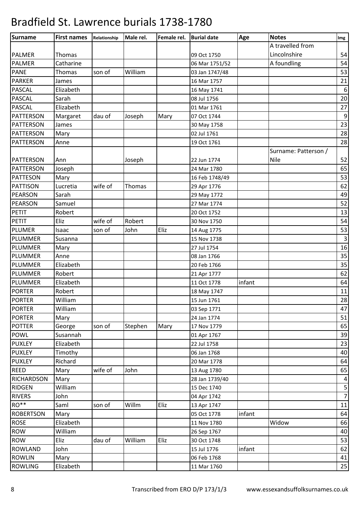| <b>Surname</b>    | <b>First names</b> | Relationship | Male rel. | Female rel. | <b>Burial date</b> | Age    | <b>Notes</b>         | Img                 |
|-------------------|--------------------|--------------|-----------|-------------|--------------------|--------|----------------------|---------------------|
|                   |                    |              |           |             |                    |        | A travelled from     |                     |
| <b>PALMER</b>     | Thomas             |              |           |             | 09 Oct 1750        |        | Lincolnshire         | 54                  |
| <b>PALMER</b>     | Catharine          |              |           |             | 06 Mar 1751/52     |        | A foundling          | 54                  |
| <b>PANE</b>       | Thomas             | son of       | William   |             | 03 Jan 1747/48     |        |                      | 53                  |
| <b>PARKER</b>     | James              |              |           |             | 16 Mar 1757        |        |                      | 21                  |
| <b>PASCAL</b>     | Elizabeth          |              |           |             | 16 May 1741        |        |                      | $\boldsymbol{6}$    |
| <b>PASCAL</b>     | Sarah              |              |           |             | 08 Jul 1756        |        |                      | 20                  |
| <b>PASCAL</b>     | Elizabeth          |              |           |             | 01 Mar 1761        |        |                      | 27                  |
| <b>PATTERSON</b>  | Margaret           | dau of       | Joseph    | Mary        | 07 Oct 1744        |        |                      | $\boldsymbol{9}$    |
| <b>PATTERSON</b>  | James              |              |           |             | 30 May 1758        |        |                      | 23                  |
| <b>PATTERSON</b>  | Mary               |              |           |             | 02 Jul 1761        |        |                      | 28                  |
| <b>PATTERSON</b>  | Anne               |              |           |             | 19 Oct 1761        |        |                      | 28                  |
|                   |                    |              |           |             |                    |        | Surname: Patterson / |                     |
| PATTERSON         | Ann                |              | Joseph    |             | 22 Jun 1774        |        | <b>Nile</b>          | 52                  |
| <b>PATTERSON</b>  | Joseph             |              |           |             | 24 Mar 1780        |        |                      | 65                  |
| <b>PATTESON</b>   | Mary               |              |           |             | 16 Feb 1748/49     |        |                      | 53                  |
| <b>PATTISON</b>   | Lucretia           | wife of      | Thomas    |             | 29 Apr 1776        |        |                      | 62                  |
| <b>PEARSON</b>    | Sarah              |              |           |             | 29 May 1772        |        |                      | 49                  |
| <b>PEARSON</b>    | Samuel             |              |           |             | 27 Mar 1774        |        |                      | 52                  |
| PETIT             | Robert             |              |           |             | 20 Oct 1752        |        |                      | 13                  |
| PETIT             | Eliz               | wife of      | Robert    |             | 30 Nov 1750        |        |                      | 54                  |
| <b>PLUMER</b>     | Isaac              | son of       | John      | Eliz        | 14 Aug 1775        |        |                      | 53                  |
| <b>PLUMMER</b>    | Susanna            |              |           |             | 15 Nov 1738        |        |                      | $\mathbf{3}$        |
| PLUMMER           | Mary               |              |           |             | 27 Jul 1754        |        |                      | 16                  |
| <b>PLUMMER</b>    | Anne               |              |           |             | 08 Jan 1766        |        |                      | 35                  |
| <b>PLUMMER</b>    | Elizabeth          |              |           |             | 20 Feb 1766        |        |                      | 35                  |
| <b>PLUMMER</b>    | Robert             |              |           |             | 21 Apr 1777        |        |                      | 62                  |
| <b>PLUMMER</b>    | Elizabeth          |              |           |             | 11 Oct 1778        | infant |                      | 64                  |
| <b>PORTER</b>     | Robert             |              |           |             | 18 May 1747        |        |                      | 11                  |
| <b>PORTER</b>     | William            |              |           |             | 15 Jun 1761        |        |                      | 28                  |
| PORTER            | William            |              |           |             | 03 Sep 1771        |        |                      | 47                  |
| <b>PORTER</b>     | Mary               |              |           |             | 24 Jan 1774        |        |                      | 51                  |
| <b>POTTER</b>     | George             | son of       | Stephen   | Mary        | 17 Nov 1779        |        |                      | 65                  |
| <b>POWL</b>       | Susannah           |              |           |             | 01 Apr 1767        |        |                      | 39                  |
| <b>PUXLEY</b>     | Elizabeth          |              |           |             | 22 Jul 1758        |        |                      | 23                  |
| <b>PUXLEY</b>     | Timothy            |              |           |             | 06 Jan 1768        |        |                      | 40                  |
| <b>PUXLEY</b>     | Richard            |              |           |             | 20 Mar 1778        |        |                      | 64                  |
| <b>REED</b>       |                    |              | John      |             |                    |        |                      |                     |
|                   | Mary               | wife of      |           |             | 13 Aug 1780        |        |                      | 65                  |
| <b>RICHARDSON</b> | Mary               |              |           |             | 28 Jan 1739/40     |        |                      | $\overline{4}$      |
| <b>RIDGEN</b>     | William            |              |           |             | 15 Dec 1740        |        |                      | 5<br>$\overline{7}$ |
| <b>RIVERS</b>     | John               |              |           |             | 04 Apr 1742        |        |                      |                     |
| RO**              | Saml               | son of       | Willm     | Eliz        | 13 Apr 1747        |        |                      | 11                  |
| <b>ROBERTSON</b>  | Mary               |              |           |             | 05 Oct 1778        | infant |                      | 64                  |
| <b>ROSE</b>       | Elizabeth          |              |           |             | 11 Nov 1780        |        | Widow                | 66                  |
| <b>ROW</b>        | William            |              |           |             | 26 Sep 1767        |        |                      | 40                  |
| <b>ROW</b>        | Eliz               | dau of       | William   | Eliz        | 30 Oct 1748        |        |                      | 53                  |
| <b>ROWLAND</b>    | John               |              |           |             | 15 Jul 1776        | infant |                      | 62                  |
| <b>ROWLIN</b>     | Mary               |              |           |             | 06 Feb 1768        |        |                      | 41                  |
| <b>ROWLING</b>    | Elizabeth          |              |           |             | 11 Mar 1760        |        |                      | 25                  |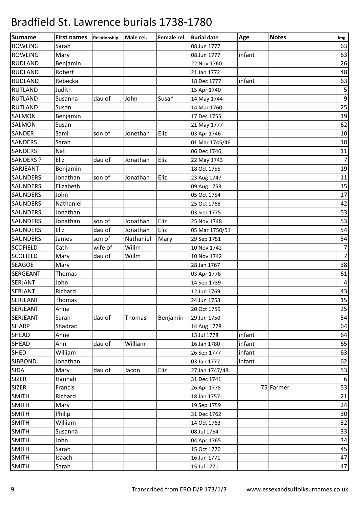| <b>Surname</b>   | <b>First names</b> | Relationship | Male rel. | Female rel. | <b>Burial date</b> | Age    | <b>Notes</b> | Img                     |
|------------------|--------------------|--------------|-----------|-------------|--------------------|--------|--------------|-------------------------|
| <b>ROWLING</b>   | Sarah              |              |           |             | 08 Jun 1777        |        |              | 63                      |
| <b>ROWLING</b>   | Mary               |              |           |             | 08 Jun 1777        | infant |              | 63                      |
| <b>RUDLAND</b>   | Benjamin           |              |           |             | 22 Nov 1760        |        |              | 26                      |
| <b>RUDLAND</b>   | Robert             |              |           |             | 21 Jan 1772        |        |              | 48                      |
| <b>RUDLAND</b>   | Rebecka            |              |           |             | 18 Dec 1777        | infant |              | 63                      |
| <b>RUTLAND</b>   | Judith             |              |           |             | 15 Apr 1740        |        |              | $\overline{\mathbf{5}}$ |
| <b>RUTLAND</b>   | Susanna            | dau of       | John      | Susa*       | 14 May 1744        |        |              | $\boldsymbol{9}$        |
| <b>RUTLAND</b>   | Susan              |              |           |             | 14 Mar 1760        |        |              | 25                      |
| SALMON           | Benjamin           |              |           |             | 17 Dec 1755        |        |              | 19                      |
| <b>SALMON</b>    | Susan              |              |           |             | 21 May 1777        |        |              | 62                      |
| <b>SANDER</b>    | Saml               | son of       | Jonethan  | Eliz        | 03 Apr 1746        |        |              | 10                      |
| <b>SANDERS</b>   | Sarah              |              |           |             | 01 Mar 1745/46     |        |              | 10                      |
| <b>SANDERS</b>   | <b>Nat</b>         |              |           |             | 06 Dec 1746        |        |              | 11                      |
| <b>SANDERS ?</b> | Eliz               | dau of       | Jonathan  | Eliz        | 22 May 1743        |        |              | $\overline{7}$          |
| SARJEANT         | Benjamin           |              |           |             | 18 Oct 1755        |        |              | 19                      |
| <b>SAUNDERS</b>  | Jonathan           | son of       | Jonathan  | Eliz        | 23 Aug 1747        |        |              | 11                      |
| <b>SAUNDERS</b>  | Elizabeth          |              |           |             | 09 Aug 1753        |        |              | 15                      |
| <b>SAUNDERS</b>  | John               |              |           |             | 05 Oct 1754        |        |              | 17                      |
| <b>SAUNDERS</b>  | Nathaniel          |              |           |             | 25 Oct 1768        |        |              | 42                      |
| <b>SAUNDERS</b>  | Jonathan           |              |           |             | 03 Sep 1775        |        |              | 53                      |
| <b>SAUNDERS</b>  | Jonathan           | son of       | Jonathan  | Eliz        | 25 Nov 1748        |        |              | 53                      |
| <b>SAUNDERS</b>  | Eliz               | dau of       | Jonathan  | Eliz        | 05 Mar 1750/51     |        |              | 54                      |
| <b>SAUNDERS</b>  | James              | son of       | Nathaniel | Mary        | 29 Sep 1751        |        |              | 54                      |
| <b>SCOFIELD</b>  | Cath               | wife of      | Willm     |             | 10 Nov 1742        |        |              | $\overline{7}$          |
| <b>SCOFIELD</b>  | Mary               | dau of       | Willm     |             | 10 Nov 1742        |        |              | $\overline{7}$          |
| <b>SEAGOE</b>    | Mary               |              |           |             | 28 Jan 1767        |        |              | 38                      |
| <b>SERGEANT</b>  | <b>Thomas</b>      |              |           |             | 03 Apr 1776        |        |              | 61                      |
| SERJANT          | John               |              |           |             | 14 Sep 1739        |        |              | $\sqrt{4}$              |
| <b>SERJANT</b>   | Richard            |              |           |             | 12 Jun 1769        |        |              | 43                      |
| SERJEANT         | Thomas             |              |           |             | 24 Jun 1753        |        |              | 15                      |
| SERJEANT         | Anne               |              |           |             | 20 Oct 1759        |        |              | 25                      |
| <b>SERJEANT</b>  | Sarah              | dau of       | Thomas    | Benjamin    | 29 Jun 1750        |        |              | 54                      |
| <b>SHARP</b>     | Shadrac            |              |           |             | 14 Aug 1778        |        |              | 64                      |
| <b>SHEAD</b>     | Anne               |              |           |             | 13 Jul 1778        | infant |              | 64                      |
| SHEAD            | Ann                | dau of       | William   |             | 16 Jan 1780        | infant |              | 65                      |
| <b>SHED</b>      | William            |              |           |             | 26 Sep 1777        | infant |              | 63                      |
| <b>SIBBOND</b>   | Jonathan           |              |           |             | 03 Jan 1777        | infant |              | 62                      |
| <b>SIDA</b>      | Mary               | dau of       | Jacon     | Eliz        | 27 Jan 1747/48     |        |              | 53                      |
| <b>SIZER</b>     | Hannah             |              |           |             | 31 Dec 1741        |        |              | $\boldsymbol{6}$        |
| <b>SIZER</b>     | Francis            |              |           |             | 26 Apr 1775        |        | 75 Farmer    | 53                      |
| <b>SMITH</b>     | Richard            |              |           |             | 18 Jan 1757        |        |              | 21                      |
| <b>SMITH</b>     | Mary               |              |           |             | 19 Sep 1759        |        |              | 24                      |
| <b>SMITH</b>     | Philip             |              |           |             | 31 Dec 1762        |        |              | $30\,$                  |
| <b>SMITH</b>     | William            |              |           |             | 14 Oct 1763        |        |              | 32                      |
| <b>SMITH</b>     | Susanna            |              |           |             | 08 Jul 1764        |        |              | 33                      |
| <b>SMITH</b>     | John               |              |           |             | 04 Apr 1765        |        |              | 34                      |
| <b>SMITH</b>     | Sarah              |              |           |             | 15 Oct 1770        |        |              | 45                      |
| <b>SMITH</b>     | Isaach             |              |           |             | 16 Jun 1771        |        |              | 47                      |
| <b>SMITH</b>     | Sarah              |              |           |             | 15 Jul 1771        |        |              | $47\,$                  |
|                  |                    |              |           |             |                    |        |              |                         |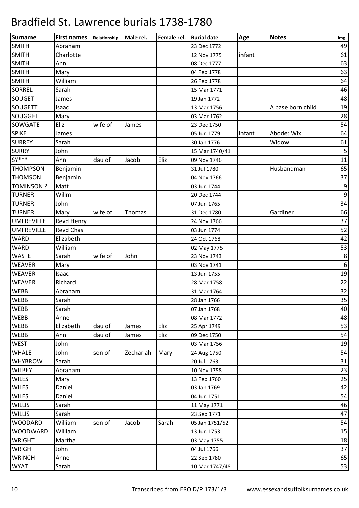| Surname           | <b>First names</b> | Relationship | Male rel. | Female rel. | <b>Burial date</b> | Age    | <b>Notes</b>      | Img              |
|-------------------|--------------------|--------------|-----------|-------------|--------------------|--------|-------------------|------------------|
| <b>SMITH</b>      | Abraham            |              |           |             | 23 Dec 1772        |        |                   | 49               |
| <b>SMITH</b>      | Charlotte          |              |           |             | 12 Nov 1775        | infant |                   | 61               |
| <b>SMITH</b>      | Ann                |              |           |             | 08 Dec 1777        |        |                   | 63               |
| <b>SMITH</b>      | Mary               |              |           |             | 04 Feb 1778        |        |                   | 63               |
| <b>SMITH</b>      | William            |              |           |             | 26 Feb 1778        |        |                   | 64               |
| <b>SORREL</b>     | Sarah              |              |           |             | 15 Mar 1771        |        |                   | 46               |
| <b>SOUGET</b>     | James              |              |           |             | 19 Jan 1772        |        |                   | 48               |
| <b>SOUGETT</b>    | Isaac              |              |           |             | 13 Mar 1756        |        | A base born child | 19               |
| <b>SOUGGET</b>    | Mary               |              |           |             | 03 Mar 1762        |        |                   | 28               |
| SOWGATE           | Eliz               | wife of      | James     |             | 23 Dec 1750        |        |                   | 54               |
| <b>SPIKE</b>      | James              |              |           |             | 05 Jun 1779        | infant | Abode: Wix        | 64               |
| <b>SURREY</b>     | Sarah              |              |           |             | 30 Jan 1776        |        | Widow             | 61               |
| <b>SURRY</b>      | John               |              |           |             | 15 Mar 1740/41     |        |                   | $\sf 5$          |
| $SY***$           | Ann                | dau of       | Jacob     | Eliz        | 09 Nov 1746        |        |                   | 11               |
| <b>THOMPSON</b>   | Benjamin           |              |           |             | 31 Jul 1780        |        | Husbandman        | 65               |
| <b>THOMSON</b>    | Benjamin           |              |           |             | 04 Nov 1766        |        |                   | 37               |
| <b>TOMINSON?</b>  | Matt               |              |           |             | 03 Jun 1744        |        |                   | $\boldsymbol{9}$ |
| <b>TURNER</b>     | Willm              |              |           |             | 20 Dec 1744        |        |                   | $\boldsymbol{9}$ |
| <b>TURNER</b>     | John               |              |           |             | 07 Jun 1765        |        |                   | 34               |
| <b>TURNER</b>     | Mary               | wife of      | Thomas    |             | 31 Dec 1780        |        | Gardiner          | 66               |
| <b>UMFREVILLE</b> | Revd Henry         |              |           |             | 24 Nov 1766        |        |                   | 37               |
| <b>UMFREVILLE</b> | <b>Revd Chas</b>   |              |           |             | 03 Jun 1774        |        |                   | 52               |
| <b>WARD</b>       | Elizabeth          |              |           |             | 24 Oct 1768        |        |                   | 42               |
| <b>WARD</b>       | William            |              |           |             | 02 May 1775        |        |                   | 53               |
| <b>WASTE</b>      | Sarah              | wife of      | John      |             | 23 Nov 1743        |        |                   | $\,8\,$          |
| <b>WEAVER</b>     | Mary               |              |           |             | 03 Nov 1741        |        |                   | $\,6\,$          |
| <b>WEAVER</b>     | Isaac              |              |           |             | 13 Jun 1755        |        |                   | 19               |
| <b>WEAVER</b>     | Richard            |              |           |             | 28 Mar 1758        |        |                   | 22               |
| <b>WEBB</b>       | Abraham            |              |           |             | 31 Mar 1764        |        |                   | 32               |
| <b>WEBB</b>       | Sarah              |              |           |             | 28 Jan 1766        |        |                   | $35\,$           |
| <b>WEBB</b>       | Sarah              |              |           |             | 07 Jan 1768        |        |                   | 40               |
| <b>WEBB</b>       | Anne               |              |           |             | 08 Mar 1772        |        |                   | 48               |
| <b>WEBB</b>       | Elizabeth          | dau of       | James     | Eliz        | 25 Apr 1749        |        |                   | 53               |
| <b>WEBB</b>       | Ann                | dau of       | James     | Eliz        | 09 Dec 1750        |        |                   | 54               |
| <b>WEST</b>       | John               |              |           |             | 03 Mar 1756        |        |                   | 19               |
| <b>WHALE</b>      | John               | son of       | Zechariah | Mary        | 24 Aug 1750        |        |                   | 54               |
| <b>WHYBROW</b>    | Sarah              |              |           |             | 20 Jul 1763        |        |                   | 31               |
| <b>WILBEY</b>     | Abraham            |              |           |             | 10 Nov 1758        |        |                   | 23               |
| <b>WILES</b>      | Mary               |              |           |             | 13 Feb 1760        |        |                   | 25               |
| <b>WILES</b>      | Daniel             |              |           |             | 03 Jan 1769        |        |                   | 42               |
| <b>WILES</b>      | Daniel             |              |           |             | 04 Jun 1751        |        |                   | 54               |
| <b>WILLIS</b>     | Sarah              |              |           |             | 11 May 1771        |        |                   | 46               |
| <b>WILLIS</b>     | Sarah              |              |           |             | 23 Sep 1771        |        |                   | 47               |
| <b>WOODARD</b>    | William            | son of       | Jacob     | Sarah       | 05 Jan 1751/52     |        |                   | 54               |
| <b>WOODWARD</b>   | William            |              |           |             | 13 Jun 1753        |        |                   | 15               |
| <b>WRIGHT</b>     | Martha             |              |           |             | 03 May 1755        |        |                   | 18               |
| <b>WRIGHT</b>     | John               |              |           |             | 04 Jul 1766        |        |                   | 37               |
| <b>WRINCH</b>     | Anne               |              |           |             | 22 Sep 1780        |        |                   | 65               |
| <b>WYAT</b>       | Sarah              |              |           |             | 10 Mar 1747/48     |        |                   | <u>53</u>        |